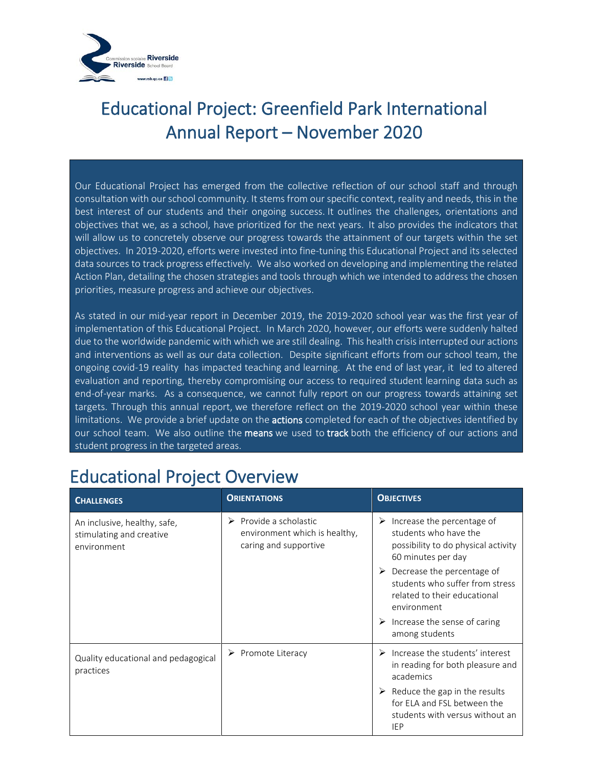

Our Educational Project has emerged from the collective reflection of our school staff and through consultation with our school community. It stems from our specific context, reality and needs, this in the best interest of our students and their ongoing success. It outlines the challenges, orientations and objectives that we, as a school, have prioritized for the next years. It also provides the indicators that will allow us to concretely observe our progress towards the attainment of our targets within the set objectives. In 2019-2020, efforts were invested into fine-tuning this Educational Project and its selected data sources to track progress effectively. We also worked on developing and implementing the related Action Plan, detailing the chosen strategies and tools through which we intended to address the chosen priorities, measure progress and achieve our objectives.

As stated in our mid-year report in December 2019, the 2019-2020 school year was the first year of implementation of this Educational Project. In March 2020, however, our efforts were suddenly halted due to the worldwide pandemic with which we are still dealing. This health crisis interrupted our actions and interventions as well as our data collection. Despite significant efforts from our school team, the ongoing covid-19 reality has impacted teaching and learning. At the end of last year, it led to altered evaluation and reporting, thereby compromising our access to required student learning data such as end-of-year marks. As a consequence, we cannot fully report on our progress towards attaining set targets. Through this annual report, we therefore reflect on the 2019-2020 school year within these limitations. We provide a brief update on the **actions** completed for each of the objectives identified by our school team. We also outline the means we used to track both the efficiency of our actions and student progress in the targeted areas.

| <b>CHALLENGES</b>                                                       | <b>ORIENTATIONS</b>                                                                 | <b>OBJECTIVES</b>                                                                                                                 |
|-------------------------------------------------------------------------|-------------------------------------------------------------------------------------|-----------------------------------------------------------------------------------------------------------------------------------|
| An inclusive, healthy, safe,<br>stimulating and creative<br>environment | Provide a scholastic<br>➤<br>environment which is healthy,<br>caring and supportive | $\triangleright$ Increase the percentage of<br>students who have the<br>possibility to do physical activity<br>60 minutes per day |
|                                                                         |                                                                                     | Decrease the percentage of<br>students who suffer from stress<br>related to their educational<br>environment                      |
|                                                                         |                                                                                     | $\triangleright$ Increase the sense of caring<br>among students                                                                   |
| Quality educational and pedagogical<br>practices                        | $\triangleright$ Promote Literacy                                                   | Increase the students' interest<br>➤<br>in reading for both pleasure and<br>academics                                             |
|                                                                         |                                                                                     | Reduce the gap in the results<br>for ELA and FSL between the<br>students with versus without an<br>IEP                            |

#### Educational Project Overview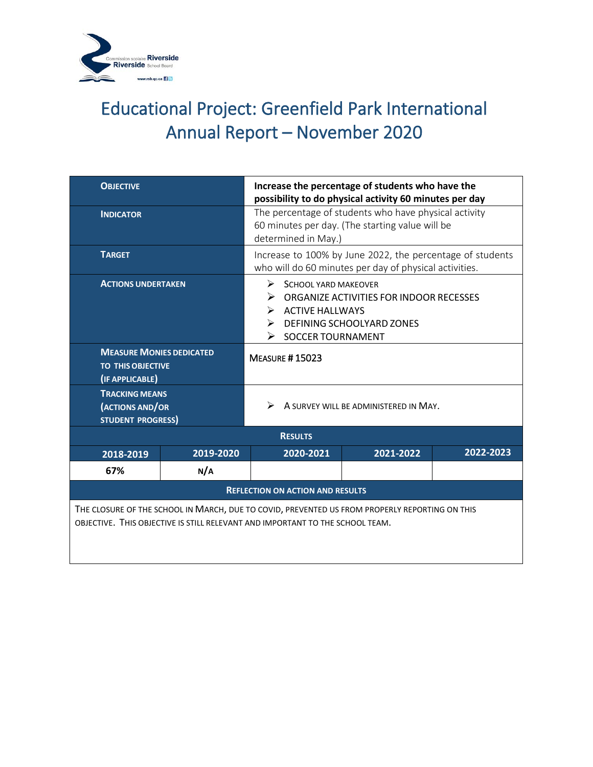

| <b>OBJECTIVE</b>                                                                                                                                                                |           | Increase the percentage of students who have the<br>possibility to do physical activity 60 minutes per day                                                                         |           |           |  |
|---------------------------------------------------------------------------------------------------------------------------------------------------------------------------------|-----------|------------------------------------------------------------------------------------------------------------------------------------------------------------------------------------|-----------|-----------|--|
| <b>INDICATOR</b>                                                                                                                                                                |           | The percentage of students who have physical activity<br>60 minutes per day. (The starting value will be<br>determined in May.)                                                    |           |           |  |
| <b>TARGET</b>                                                                                                                                                                   |           | Increase to 100% by June 2022, the percentage of students<br>who will do 60 minutes per day of physical activities.                                                                |           |           |  |
| <b>ACTIONS UNDERTAKEN</b>                                                                                                                                                       |           | $\triangleright$ SCHOOL YARD MAKEOVER<br>➤<br>ORGANIZE ACTIVITIES FOR INDOOR RECESSES<br>> ACTIVE HALLWAYS<br>DEFINING SCHOOLYARD ZONES<br>➤<br>$\triangleright$ SOCCER TOURNAMENT |           |           |  |
| <b>MEASURE MONIES DEDICATED</b><br><b>TO THIS OBJECTIVE</b><br>(IF APPLICABLE)                                                                                                  |           | <b>MEASURE #15023</b>                                                                                                                                                              |           |           |  |
| <b>TRACKING MEANS</b><br>(ACTIONS AND/OR<br><b>STUDENT PROGRESS)</b>                                                                                                            |           | A SURVEY WILL BE ADMINISTERED IN MAY.<br>⋗                                                                                                                                         |           |           |  |
|                                                                                                                                                                                 |           | <b>RESULTS</b>                                                                                                                                                                     |           |           |  |
| 2018-2019                                                                                                                                                                       | 2019-2020 | 2020-2021                                                                                                                                                                          | 2021-2022 | 2022-2023 |  |
| 67%                                                                                                                                                                             | N/A       |                                                                                                                                                                                    |           |           |  |
| <b>REFLECTION ON ACTION AND RESULTS</b>                                                                                                                                         |           |                                                                                                                                                                                    |           |           |  |
| THE CLOSURE OF THE SCHOOL IN MARCH, DUE TO COVID, PREVENTED US FROM PROPERLY REPORTING ON THIS<br>OBJECTIVE. THIS OBJECTIVE IS STILL RELEVANT AND IMPORTANT TO THE SCHOOL TEAM. |           |                                                                                                                                                                                    |           |           |  |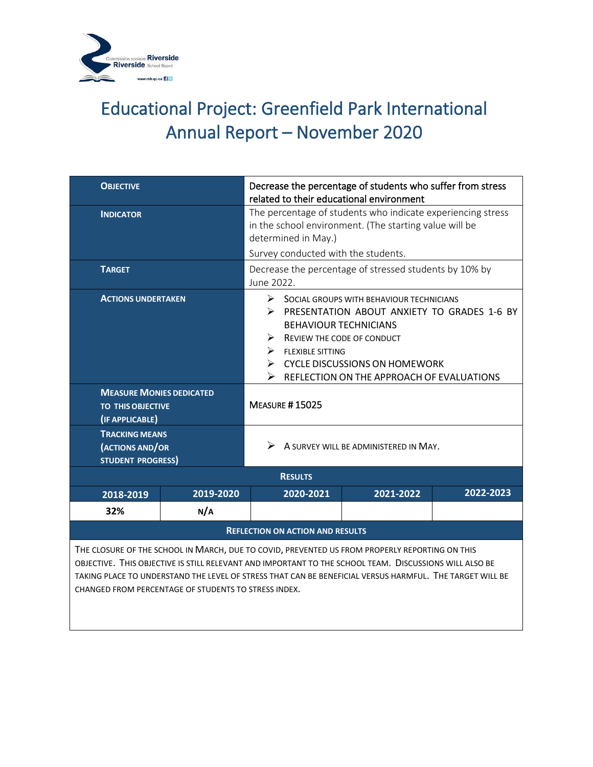

| <b>OBJECTIVE</b>                                                                                                                                                                                                                                                                                                                                                             |           | Decrease the percentage of students who suffer from stress<br>related to their educational environment                                                                                                                                                                                              |                |           |           |
|------------------------------------------------------------------------------------------------------------------------------------------------------------------------------------------------------------------------------------------------------------------------------------------------------------------------------------------------------------------------------|-----------|-----------------------------------------------------------------------------------------------------------------------------------------------------------------------------------------------------------------------------------------------------------------------------------------------------|----------------|-----------|-----------|
| <b>INDICATOR</b>                                                                                                                                                                                                                                                                                                                                                             |           | The percentage of students who indicate experiencing stress<br>in the school environment. (The starting value will be<br>determined in May.)<br>Survey conducted with the students.                                                                                                                 |                |           |           |
| <b>TARGET</b>                                                                                                                                                                                                                                                                                                                                                                |           | Decrease the percentage of stressed students by 10% by<br>June 2022.                                                                                                                                                                                                                                |                |           |           |
| <b>ACTIONS UNDERTAKEN</b>                                                                                                                                                                                                                                                                                                                                                    |           | ➤<br>SOCIAL GROUPS WITH BEHAVIOUR TECHNICIANS<br>PRESENTATION ABOUT ANXIETY TO GRADES 1-6 BY<br>≻<br><b>BEHAVIOUR TECHNICIANS</b><br>REVIEW THE CODE OF CONDUCT<br>⋗<br>≻<br><b>FLEXIBLE SITTING</b><br><b>CYCLE DISCUSSIONS ON HOMEWORK</b><br>≻<br>➤<br>REFLECTION ON THE APPROACH OF EVALUATIONS |                |           |           |
| <b>MEASURE MONIES DEDICATED</b><br><b>TO THIS OBJECTIVE</b><br>(IF APPLICABLE)                                                                                                                                                                                                                                                                                               |           | <b>MEASURE #15025</b>                                                                                                                                                                                                                                                                               |                |           |           |
| <b>TRACKING MEANS</b><br>(ACTIONS AND/OR<br><b>STUDENT PROGRESS)</b>                                                                                                                                                                                                                                                                                                         |           | A SURVEY WILL BE ADMINISTERED IN MAY.<br>↘                                                                                                                                                                                                                                                          |                |           |           |
|                                                                                                                                                                                                                                                                                                                                                                              |           |                                                                                                                                                                                                                                                                                                     | <b>RESULTS</b> |           |           |
| 2018-2019                                                                                                                                                                                                                                                                                                                                                                    | 2019-2020 |                                                                                                                                                                                                                                                                                                     | 2020-2021      | 2021-2022 | 2022-2023 |
| 32%                                                                                                                                                                                                                                                                                                                                                                          | N/A       |                                                                                                                                                                                                                                                                                                     |                |           |           |
| <b>REFLECTION ON ACTION AND RESULTS</b>                                                                                                                                                                                                                                                                                                                                      |           |                                                                                                                                                                                                                                                                                                     |                |           |           |
| THE CLOSURE OF THE SCHOOL IN MARCH, DUE TO COVID, PREVENTED US FROM PROPERLY REPORTING ON THIS<br>OBJECTIVE. THIS OBJECTIVE IS STILL RELEVANT AND IMPORTANT TO THE SCHOOL TEAM. DISCUSSIONS WILL ALSO BE<br>TAKING PLACE TO UNDERSTAND THE LEVEL OF STRESS THAT CAN BE BENEFICIAL VERSUS HARMFUL. THE TARGET WILL BE<br>CHANGED FROM PERCENTAGE OF STUDENTS TO STRESS INDEX. |           |                                                                                                                                                                                                                                                                                                     |                |           |           |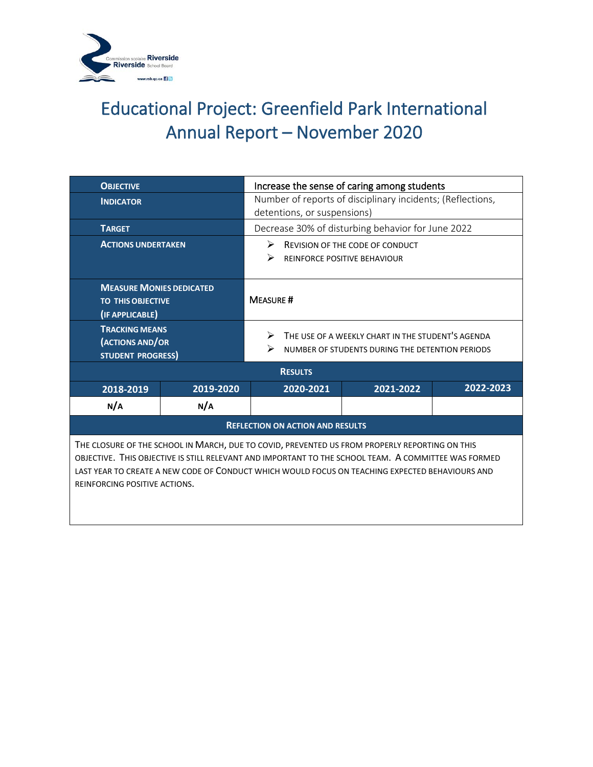

| <b>OBJECTIVE</b>                                                                                                                                                                                                                                                                                                                           |                                                        | Increase the sense of caring among students                |                                                      |                                                   |           |
|--------------------------------------------------------------------------------------------------------------------------------------------------------------------------------------------------------------------------------------------------------------------------------------------------------------------------------------------|--------------------------------------------------------|------------------------------------------------------------|------------------------------------------------------|---------------------------------------------------|-----------|
| <b>INDICATOR</b>                                                                                                                                                                                                                                                                                                                           |                                                        | Number of reports of disciplinary incidents; (Reflections, |                                                      |                                                   |           |
|                                                                                                                                                                                                                                                                                                                                            |                                                        |                                                            | detentions, or suspensions)                          |                                                   |           |
| <b>TARGET</b>                                                                                                                                                                                                                                                                                                                              |                                                        |                                                            |                                                      | Decrease 30% of disturbing behavior for June 2022 |           |
| <b>ACTIONS UNDERTAKEN</b>                                                                                                                                                                                                                                                                                                                  |                                                        | ➤                                                          |                                                      | <b>REVISION OF THE CODE OF CONDUCT</b>            |           |
|                                                                                                                                                                                                                                                                                                                                            |                                                        | ⋗                                                          |                                                      | <b>REINFORCE POSITIVE BEHAVIOUR</b>               |           |
|                                                                                                                                                                                                                                                                                                                                            |                                                        |                                                            |                                                      |                                                   |           |
| <b>MEASURE MONIES DEDICATED</b>                                                                                                                                                                                                                                                                                                            |                                                        |                                                            |                                                      |                                                   |           |
| <b>TO THIS OBJECTIVE</b>                                                                                                                                                                                                                                                                                                                   |                                                        | <b>MEASURE#</b>                                            |                                                      |                                                   |           |
| (IF APPLICABLE)                                                                                                                                                                                                                                                                                                                            |                                                        |                                                            |                                                      |                                                   |           |
| <b>TRACKING MEANS</b>                                                                                                                                                                                                                                                                                                                      | THE USE OF A WEEKLY CHART IN THE STUDENT'S AGENDA<br>➤ |                                                            |                                                      |                                                   |           |
| (ACTIONS AND/OR                                                                                                                                                                                                                                                                                                                            |                                                        |                                                            | ↘<br>NUMBER OF STUDENTS DURING THE DETENTION PERIODS |                                                   |           |
| <b>STUDENT PROGRESS)</b>                                                                                                                                                                                                                                                                                                                   |                                                        |                                                            |                                                      |                                                   |           |
|                                                                                                                                                                                                                                                                                                                                            | <b>RESULTS</b>                                         |                                                            |                                                      |                                                   |           |
| 2018-2019                                                                                                                                                                                                                                                                                                                                  | 2019-2020                                              |                                                            | 2020-2021                                            | 2021-2022                                         | 2022-2023 |
| N/A                                                                                                                                                                                                                                                                                                                                        | N/A                                                    |                                                            |                                                      |                                                   |           |
| <b>REFLECTION ON ACTION AND RESULTS</b>                                                                                                                                                                                                                                                                                                    |                                                        |                                                            |                                                      |                                                   |           |
| THE CLOSURE OF THE SCHOOL IN MARCH, DUE TO COVID, PREVENTED US FROM PROPERLY REPORTING ON THIS<br>OBJECTIVE. THIS OBJECTIVE IS STILL RELEVANT AND IMPORTANT TO THE SCHOOL TEAM. A COMMITTEE WAS FORMED<br>LAST YEAR TO CREATE A NEW CODE OF CONDUCT WHICH WOULD FOCUS ON TEACHING EXPECTED BEHAVIOURS AND<br>REINFORCING POSITIVE ACTIONS. |                                                        |                                                            |                                                      |                                                   |           |
|                                                                                                                                                                                                                                                                                                                                            |                                                        |                                                            |                                                      |                                                   |           |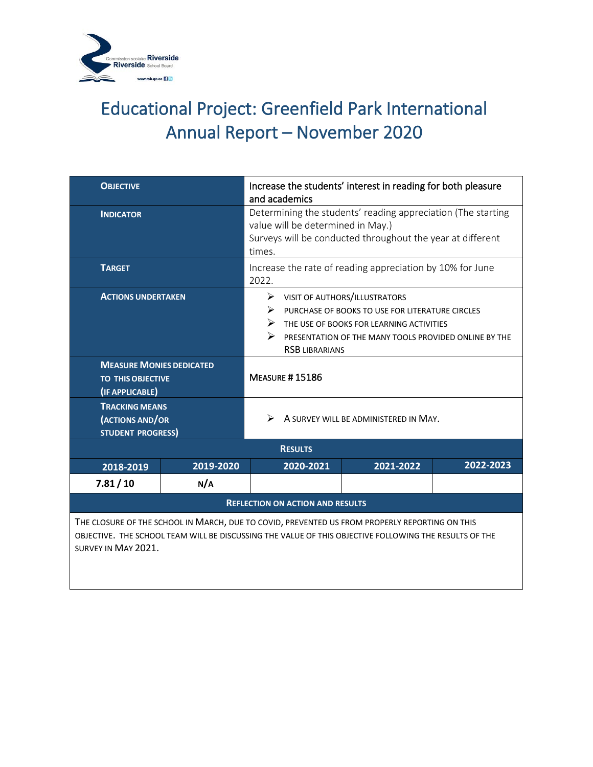

| <b>OBJECTIVE</b>                                                                                                                                                                                                                |                | Increase the students' interest in reading for both pleasure<br>and academics                                                                                                                                                                  |           |                                                           |           |  |
|---------------------------------------------------------------------------------------------------------------------------------------------------------------------------------------------------------------------------------|----------------|------------------------------------------------------------------------------------------------------------------------------------------------------------------------------------------------------------------------------------------------|-----------|-----------------------------------------------------------|-----------|--|
| <b>INDICATOR</b>                                                                                                                                                                                                                |                | Determining the students' reading appreciation (The starting<br>value will be determined in May.)<br>Surveys will be conducted throughout the year at different<br>times.                                                                      |           |                                                           |           |  |
| <b>TARGET</b>                                                                                                                                                                                                                   |                | 2022.                                                                                                                                                                                                                                          |           | Increase the rate of reading appreciation by 10% for June |           |  |
| <b>ACTIONS UNDERTAKEN</b>                                                                                                                                                                                                       |                | VISIT OF AUTHORS/ILLUSTRATORS<br>➤<br>⋗<br>PURCHASE OF BOOKS TO USE FOR LITERATURE CIRCLES<br>$\triangleright$ THE USE OF BOOKS FOR LEARNING ACTIVITIES<br>➤<br>PRESENTATION OF THE MANY TOOLS PROVIDED ONLINE BY THE<br><b>RSB LIBRARIANS</b> |           |                                                           |           |  |
| <b>MEASURE MONIES DEDICATED</b><br><b>TO THIS OBJECTIVE</b><br>(IF APPLICABLE)                                                                                                                                                  |                | <b>MEASURE #15186</b>                                                                                                                                                                                                                          |           |                                                           |           |  |
| <b>TRACKING MEANS</b><br>(ACTIONS AND/OR<br><b>STUDENT PROGRESS)</b>                                                                                                                                                            |                | ↘<br>A SURVEY WILL BE ADMINISTERED IN MAY.                                                                                                                                                                                                     |           |                                                           |           |  |
|                                                                                                                                                                                                                                 | <b>RESULTS</b> |                                                                                                                                                                                                                                                |           |                                                           |           |  |
| 2018-2019                                                                                                                                                                                                                       | 2019-2020      |                                                                                                                                                                                                                                                | 2020-2021 | 2021-2022                                                 | 2022-2023 |  |
| 7.81/10                                                                                                                                                                                                                         | N/A            |                                                                                                                                                                                                                                                |           |                                                           |           |  |
| <b>REFLECTION ON ACTION AND RESULTS</b>                                                                                                                                                                                         |                |                                                                                                                                                                                                                                                |           |                                                           |           |  |
| THE CLOSURE OF THE SCHOOL IN MARCH, DUE TO COVID, PREVENTED US FROM PROPERLY REPORTING ON THIS<br>OBJECTIVE. THE SCHOOL TEAM WILL BE DISCUSSING THE VALUE OF THIS OBJECTIVE FOLLOWING THE RESULTS OF THE<br>SURVEY IN MAY 2021. |                |                                                                                                                                                                                                                                                |           |                                                           |           |  |